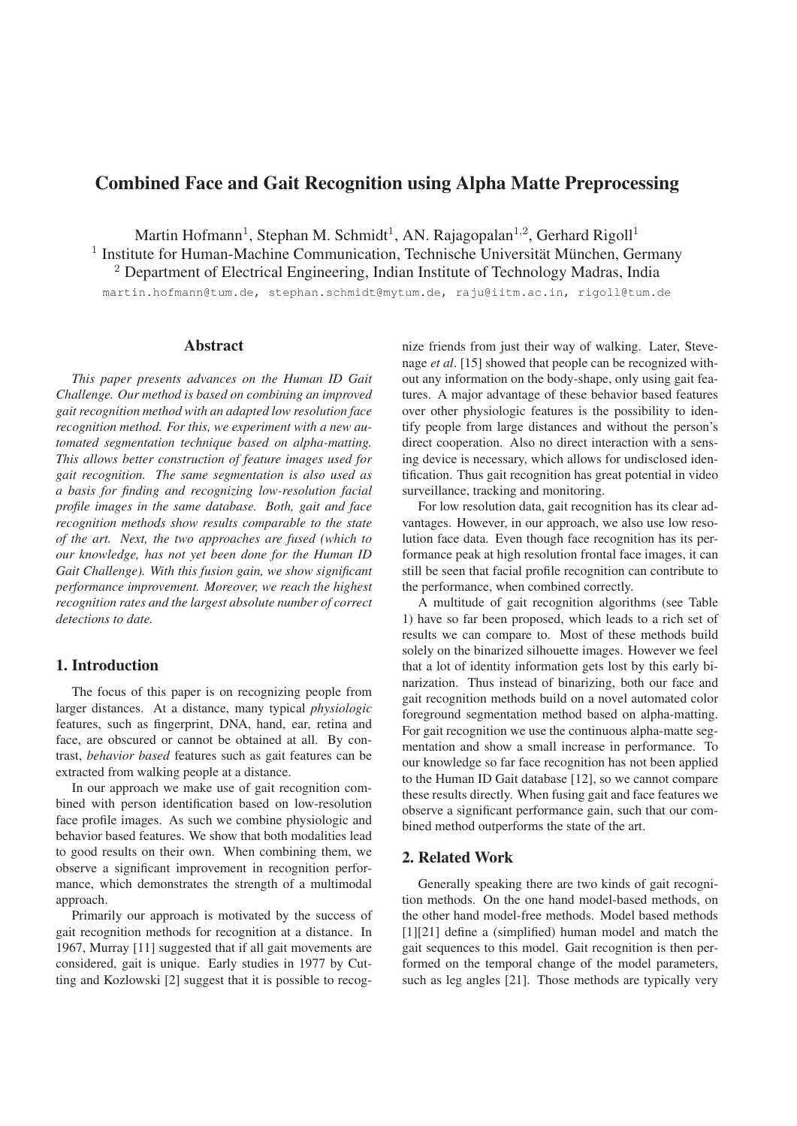# Combined Face and Gait Recognition using Alpha Matte Preprocessing

Martin Hofmann<sup>1</sup>, Stephan M. Schmidt<sup>1</sup>, AN. Rajagopalan<sup>1,2</sup>, Gerhard Rigoll<sup>1</sup>

 $1$  Institute for Human-Machine Communication, Technische Universität München, Germany

<sup>2</sup> Department of Electrical Engineering, Indian Institute of Technology Madras, India

martin.hofmann@tum.de, stephan.schmidt@mytum.de, raju@iitm.ac.in, rigoll@tum.de

## Abstract

*This paper presents advances on the Human ID Gait Challenge. Our method is based on combining an improved gait recognition method with an adapted low resolution face recognition method. For this, we experiment with a new automated segmentation technique based on alpha-matting. This allows better construction of feature images used for gait recognition. The same segmentation is also used as a basis for finding and recognizing low-resolution facial profile images in the same database. Both, gait and face recognition methods show results comparable to the state of the art. Next, the two approaches are fused (which to our knowledge, has not yet been done for the Human ID Gait Challenge). With this fusion gain, we show significant performance improvement. Moreover, we reach the highest recognition rates and the largest absolute number of correct detections to date.*

## 1. Introduction

The focus of this paper is on recognizing people from larger distances. At a distance, many typical *physiologic* features, such as fingerprint, DNA, hand, ear, retina and face, are obscured or cannot be obtained at all. By contrast, *behavior based* features such as gait features can be extracted from walking people at a distance.

In our approach we make use of gait recognition combined with person identification based on low-resolution face profile images. As such we combine physiologic and behavior based features. We show that both modalities lead to good results on their own. When combining them, we observe a significant improvement in recognition performance, which demonstrates the strength of a multimodal approach.

Primarily our approach is motivated by the success of gait recognition methods for recognition at a distance. In 1967, Murray [11] suggested that if all gait movements are considered, gait is unique. Early studies in 1977 by Cutting and Kozlowski [2] suggest that it is possible to recognize friends from just their way of walking. Later, Stevenage *et al*. [15] showed that people can be recognized without any information on the body-shape, only using gait features. A major advantage of these behavior based features over other physiologic features is the possibility to identify people from large distances and without the person's direct cooperation. Also no direct interaction with a sensing device is necessary, which allows for undisclosed identification. Thus gait recognition has great potential in video surveillance, tracking and monitoring.

For low resolution data, gait recognition has its clear advantages. However, in our approach, we also use low resolution face data. Even though face recognition has its performance peak at high resolution frontal face images, it can still be seen that facial profile recognition can contribute to the performance, when combined correctly.

A multitude of gait recognition algorithms (see Table 1) have so far been proposed, which leads to a rich set of results we can compare to. Most of these methods build solely on the binarized silhouette images. However we feel that a lot of identity information gets lost by this early binarization. Thus instead of binarizing, both our face and gait recognition methods build on a novel automated color foreground segmentation method based on alpha-matting. For gait recognition we use the continuous alpha-matte segmentation and show a small increase in performance. To our knowledge so far face recognition has not been applied to the Human ID Gait database [12], so we cannot compare these results directly. When fusing gait and face features we observe a significant performance gain, such that our combined method outperforms the state of the art.

## 2. Related Work

Generally speaking there are two kinds of gait recognition methods. On the one hand model-based methods, on the other hand model-free methods. Model based methods [1][21] define a (simplified) human model and match the gait sequences to this model. Gait recognition is then performed on the temporal change of the model parameters, such as leg angles [21]. Those methods are typically very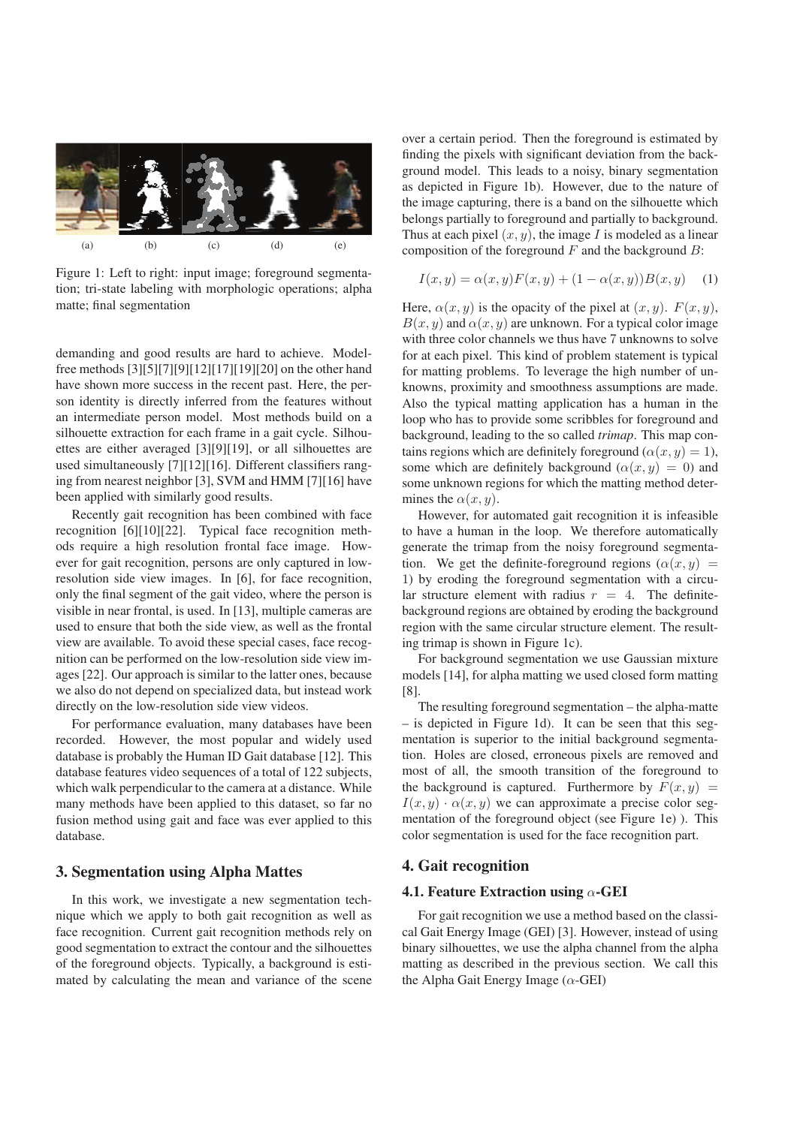

Figure 1: Left to right: input image; foreground segmentation; tri-state labeling with morphologic operations; alpha matte; final segmentation

demanding and good results are hard to achieve. Modelfree methods [3][5][7][9][12][17][19][20] on the other hand have shown more success in the recent past. Here, the person identity is directly inferred from the features without an intermediate person model. Most methods build on a silhouette extraction for each frame in a gait cycle. Silhouettes are either averaged [3][9][19], or all silhouettes are used simultaneously [7][12][16]. Different classifiers ranging from nearest neighbor [3], SVM and HMM [7][16] have been applied with similarly good results.

Recently gait recognition has been combined with face recognition [6][10][22]. Typical face recognition methods require a high resolution frontal face image. However for gait recognition, persons are only captured in lowresolution side view images. In [6], for face recognition, only the final segment of the gait video, where the person is visible in near frontal, is used. In [13], multiple cameras are used to ensure that both the side view, as well as the frontal view are available. To avoid these special cases, face recognition can be performed on the low-resolution side view images [22]. Our approach is similar to the latter ones, because we also do not depend on specialized data, but instead work directly on the low-resolution side view videos.

For performance evaluation, many databases have been recorded. However, the most popular and widely used database is probably the Human ID Gait database [12]. This database features video sequences of a total of 122 subjects, which walk perpendicular to the camera at a distance. While many methods have been applied to this dataset, so far no fusion method using gait and face was ever applied to this database.

### 3. Segmentation using Alpha Mattes

In this work, we investigate a new segmentation technique which we apply to both gait recognition as well as face recognition. Current gait recognition methods rely on good segmentation to extract the contour and the silhouettes of the foreground objects. Typically, a background is estimated by calculating the mean and variance of the scene

over a certain period. Then the foreground is estimated by finding the pixels with significant deviation from the background model. This leads to a noisy, binary segmentation as depicted in Figure 1b). However, due to the nature of the image capturing, there is a band on the silhouette which belongs partially to foreground and partially to background. Thus at each pixel  $(x, y)$ , the image I is modeled as a linear composition of the foreground  $F$  and the background  $B$ :

$$
I(x, y) = \alpha(x, y)F(x, y) + (1 - \alpha(x, y))B(x, y)
$$
 (1)

Here,  $\alpha(x, y)$  is the opacity of the pixel at  $(x, y)$ .  $F(x, y)$ ,  $B(x, y)$  and  $\alpha(x, y)$  are unknown. For a typical color image with three color channels we thus have 7 unknowns to solve for at each pixel. This kind of problem statement is typical for matting problems. To leverage the high number of unknowns, proximity and smoothness assumptions are made. Also the typical matting application has a human in the loop who has to provide some scribbles for foreground and background, leading to the so called *trimap*. This map contains regions which are definitely foreground ( $\alpha(x, y) = 1$ ), some which are definitely background  $(\alpha(x, y) = 0)$  and some unknown regions for which the matting method determines the  $\alpha(x, y)$ .

However, for automated gait recognition it is infeasible to have a human in the loop. We therefore automatically generate the trimap from the noisy foreground segmentation. We get the definite-foreground regions  $(\alpha(x, y)$  = 1) by eroding the foreground segmentation with a circular structure element with radius  $r = 4$ . The definitebackground regions are obtained by eroding the background region with the same circular structure element. The resulting trimap is shown in Figure 1c).

For background segmentation we use Gaussian mixture models [14], for alpha matting we used closed form matting [8].

The resulting foreground segmentation – the alpha-matte – is depicted in Figure 1d). It can be seen that this segmentation is superior to the initial background segmentation. Holes are closed, erroneous pixels are removed and most of all, the smooth transition of the foreground to the background is captured. Furthermore by  $F(x, y) =$  $I(x, y) \cdot \alpha(x, y)$  we can approximate a precise color segmentation of the foreground object (see Figure 1e) ). This color segmentation is used for the face recognition part.

## 4. Gait recognition

#### 4.1. Feature Extraction using  $\alpha$ -GEI

For gait recognition we use a method based on the classical Gait Energy Image (GEI) [3]. However, instead of using binary silhouettes, we use the alpha channel from the alpha matting as described in the previous section. We call this the Alpha Gait Energy Image  $(\alpha$ -GEI)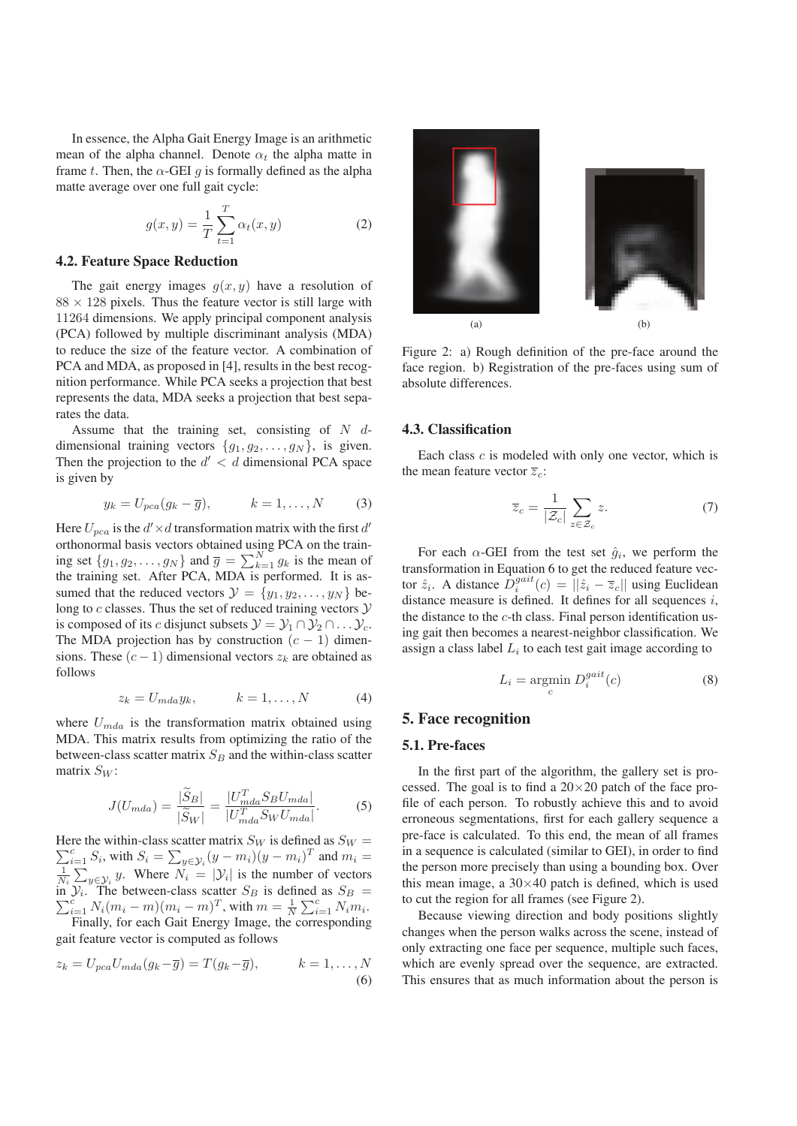In essence, the Alpha Gait Energy Image is an arithmetic mean of the alpha channel. Denote  $\alpha_t$  the alpha matte in frame t. Then, the  $\alpha$ -GEI q is formally defined as the alpha matte average over one full gait cycle:

$$
g(x,y) = \frac{1}{T} \sum_{t=1}^{T} \alpha_t(x,y)
$$
 (2)

#### 4.2. Feature Space Reduction

The gait energy images  $g(x, y)$  have a resolution of  $88 \times 128$  pixels. Thus the feature vector is still large with 11264 dimensions. We apply principal component analysis (PCA) followed by multiple discriminant analysis (MDA) to reduce the size of the feature vector. A combination of PCA and MDA, as proposed in [4], results in the best recognition performance. While PCA seeks a projection that best represents the data, MDA seeks a projection that best separates the data.

Assume that the training set, consisting of  $N$  ddimensional training vectors  $\{g_1, g_2, \ldots, g_N\}$ , is given. Then the projection to the  $d' < d$  dimensional PCA space is given by

$$
y_k = U_{pca}(g_k - \overline{g}), \qquad k = 1, \dots, N \qquad (3)
$$

Here  $U_{pca}$  is the  $d' \times d$  transformation matrix with the first  $d'$ orthonormal basis vectors obtained using PCA on the training set  $\{g_1, g_2, \dots, g_N\}$  and  $\overline{g} = \sum_{k=1}^N g_k$  is the mean of<br>the training set After PCA MDA is performed. It is as the training set. After PCA, MDA is performed. It is assumed that the reduced vectors  $\mathcal{Y} = \{y_1, y_2, \dots, y_N\}$  belong to  $c$  classes. Thus the set of reduced training vectors  $\mathcal Y$ is composed of its c disjunct subsets  $\mathcal{Y} = \mathcal{Y}_1 \cap \mathcal{Y}_2 \cap \ldots \mathcal{Y}_c$ . The MDA projection has by construction  $(c - 1)$  dimensions. These  $(c - 1)$  dimensional vectors  $z_k$  are obtained as follows

$$
z_k = U_{mda} y_k, \qquad k = 1, \dots, N \tag{4}
$$

where  $U_{mda}$  is the transformation matrix obtained using MDA. This matrix results from optimizing the ratio of the between-class scatter matrix  $S_B$  and the within-class scatter matrix  $S_W$ :

$$
J(U_{mda}) = \frac{|\widetilde{S}_B|}{|\widetilde{S}_W|} = \frac{|U_{mda}^T S_B U_{mda}|}{|U_{mda}^T S_W U_{mda}|}.
$$
 (5)

 $\sum_{i=1}^{c} S_i$ , with  $S_i = \sum_{y \in \mathcal{Y}_i} (y - m_i)(y - m_i)^T$  and  $m_i =$ <br> $\frac{1}{\sum_{i=1}^{c} N_i}$  Where  $N_i = |y_i|$  is the number of vectors Here the within-class scatter matrix  $S_W$  is defined as  $S_W$  =  $\frac{1}{N_i} \sum_{y \in \mathcal{Y}_i} y$ . Where  $N_i = |\mathcal{Y}_i|$  is the number of vectors<br>in  $\mathcal{Y}_i$ . The between-class scatter  $S_B$  is defined as  $S_B = \sum_{i=1}^{c} N_i (m_i - m)(m_i - m)^T$  with  $m = \frac{1}{2} \sum_{i=1}^{c} N_i m_i$ .  $\sum_{i=1}^{c} N_i (m_i - m)(m_i - m)^T$ , with  $m = \frac{1}{N} \sum_{i=1}^{c} N_i m_i$ .<br>Finally, for each Gait Energy Image, the corresponding

Finally, for each Gait Energy Image, the corresponding gait feature vector is computed as follows

$$
z_k = U_{pca}U_{mda}(g_k - \overline{g}) = T(g_k - \overline{g}), \qquad k = 1, \dots, N
$$
  
(6)



Figure 2: a) Rough definition of the pre-face around the face region. b) Registration of the pre-faces using sum of absolute differences.

#### 4.3. Classification

Each class  $c$  is modeled with only one vector, which is the mean feature vector  $\overline{z}_c$ :

$$
\overline{z}_c = \frac{1}{|\mathcal{Z}_c|} \sum_{z \in \mathcal{Z}_c} z. \tag{7}
$$

For each  $\alpha$ -GEI from the test set  $\hat{g}_i$ , we perform the transformation in Equation 6 to get the reduced feature vector  $\hat{z}_i$ . A distance  $\hat{D}_i^{gait}(c) = ||\hat{z}_i - \overline{z}_c||$  using Euclidean distance measure is defined. It defines for all sequences *i* distance measure is defined. It defines for all sequences i, the distance to the c-th class. Final person identification using gait then becomes a nearest-neighbor classification. We assign a class label  $L_i$  to each test gait image according to

$$
L_i = \underset{c}{\text{argmin}} \ D_i^{gait}(c) \tag{8}
$$

#### 5. Face recognition

#### 5.1. Pre-faces

In the first part of the algorithm, the gallery set is processed. The goal is to find a  $20\times20$  patch of the face profile of each person. To robustly achieve this and to avoid erroneous segmentations, first for each gallery sequence a pre-face is calculated. To this end, the mean of all frames in a sequence is calculated (similar to GEI), in order to find the person more precisely than using a bounding box. Over this mean image, a  $30\times40$  patch is defined, which is used to cut the region for all frames (see Figure 2).

Because viewing direction and body positions slightly changes when the person walks across the scene, instead of only extracting one face per sequence, multiple such faces, which are evenly spread over the sequence, are extracted. This ensures that as much information about the person is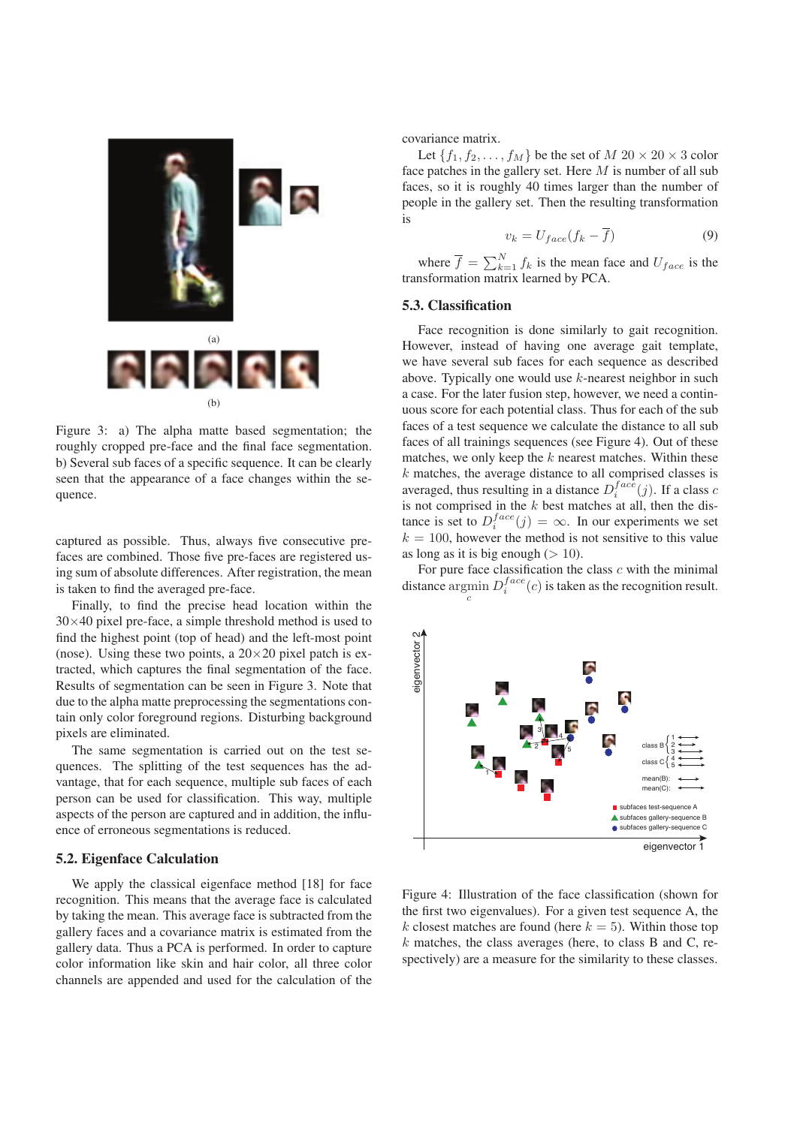

Figure 3: a) The alpha matte based segmentation; the roughly cropped pre-face and the final face segmentation. b) Several sub faces of a specific sequence. It can be clearly seen that the appearance of a face changes within the sequence.

captured as possible. Thus, always five consecutive prefaces are combined. Those five pre-faces are registered using sum of absolute differences. After registration, the mean is taken to find the averaged pre-face.

Finally, to find the precise head location within the  $30\times40$  pixel pre-face, a simple threshold method is used to find the highest point (top of head) and the left-most point (nose). Using these two points, a  $20\times20$  pixel patch is extracted, which captures the final segmentation of the face. Results of segmentation can be seen in Figure 3. Note that due to the alpha matte preprocessing the segmentations contain only color foreground regions. Disturbing background pixels are eliminated.

The same segmentation is carried out on the test sequences. The splitting of the test sequences has the advantage, that for each sequence, multiple sub faces of each person can be used for classification. This way, multiple aspects of the person are captured and in addition, the influence of erroneous segmentations is reduced.

#### 5.2. Eigenface Calculation

We apply the classical eigenface method [18] for face recognition. This means that the average face is calculated by taking the mean. This average face is subtracted from the gallery faces and a covariance matrix is estimated from the gallery data. Thus a PCA is performed. In order to capture color information like skin and hair color, all three color channels are appended and used for the calculation of the covariance matrix.

Let  $\{f_1, f_2, \ldots, f_M\}$  be the set of  $M$  20  $\times$  20  $\times$  3 color face patches in the gallery set. Here  $M$  is number of all sub faces, so it is roughly 40 times larger than the number of people in the gallery set. Then the resulting transformation is

$$
v_k = U_{face}(f_k - \overline{f})
$$
\n(9)

where  $\overline{f} = \sum_{k=1}^{N} f_k$  is the mean face and  $U_{face}$  is the neformation matrix learned by PCA transformation matrix learned by PCA.

#### 5.3. Classification

Face recognition is done similarly to gait recognition. However, instead of having one average gait template, we have several sub faces for each sequence as described above. Typically one would use k-nearest neighbor in such a case. For the later fusion step, however, we need a continuous score for each potential class. Thus for each of the sub faces of a test sequence we calculate the distance to all sub faces of all trainings sequences (see Figure 4). Out of these matches, we only keep the  $k$  nearest matches. Within these  $k$  matches, the average distance to all comprised classes is averaged, thus resulting in a distance  $D_i^{face}(j)$ . If a class c<br>is not comprised in the k best matches at all then the disis not comprised in the  $k$  best matches at all, then the distance is set to  $D_i^{face}(j) = \infty$ . In our experiments we set  $k = 100$  however the method is not sensitive to this value  $k = 100$ , however the method is not sensitive to this value as long as it is big enough  $(> 10)$ .

For pure face classification the class  $c$  with the minimal distance  $\underset{c}{\text{argmin}} D_i^{face}(c)$  is taken as the recognition result.



Figure 4: Illustration of the face classification (shown for the first two eigenvalues). For a given test sequence A, the k closest matches are found (here  $k = 5$ ). Within those top  $k$  matches, the class averages (here, to class B and C, respectively) are a measure for the similarity to these classes.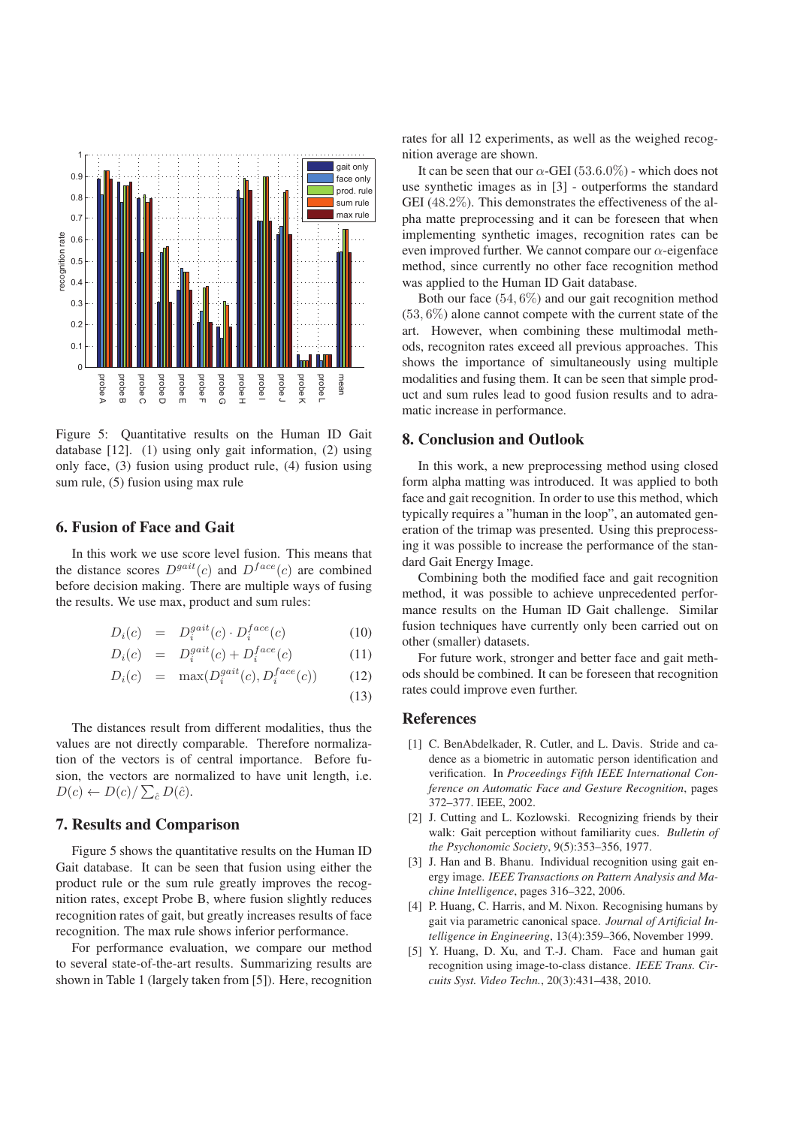

Figure 5: Quantitative results on the Human ID Gait database [12]. (1) using only gait information, (2) using only face, (3) fusion using product rule, (4) fusion using sum rule, (5) fusion using max rule

## 6. Fusion of Face and Gait

In this work we use score level fusion. This means that the distance scores  $D<sup>gait</sup>(c)$  and  $D<sup>face</sup>(c)$  are combined before decision making. There are multiple ways of fusing the results. We use max, product and sum rules:

$$
D_i(c) = D_i^{gait}(c) \cdot D_i^{face}(c)
$$
 (10)

$$
D_i(c) = D_i^{gait}(c) + D_i^{face}(c)
$$
 (11)

$$
D_i(c) = \max(D_i^{gait}(c), D_i^{face}(c))
$$
 (12)

(13)

The distances result from different modalities, thus the values are not directly comparable. Therefore normalization of the vectors is of central importance. Before fusion, the vectors are normalized to have unit length, i.e.  $D(c) \leftarrow D(c) / \sum_{\hat{c}} D(\hat{c}).$ 

## 7. Results and Comparison

Figure 5 shows the quantitative results on the Human ID Gait database. It can be seen that fusion using either the product rule or the sum rule greatly improves the recognition rates, except Probe B, where fusion slightly reduces recognition rates of gait, but greatly increases results of face recognition. The max rule shows inferior performance.

For performance evaluation, we compare our method to several state-of-the-art results. Summarizing results are shown in Table 1 (largely taken from [5]). Here, recognition rates for all 12 experiments, as well as the weighed recognition average are shown.

It can be seen that our  $\alpha$ -GEI (53.6.0%) - which does not use synthetic images as in [3] - outperforms the standard GEI (48.2%). This demonstrates the effectiveness of the alpha matte preprocessing and it can be foreseen that when implementing synthetic images, recognition rates can be even improved further. We cannot compare our  $\alpha$ -eigenface method, since currently no other face recognition method was applied to the Human ID Gait database.

Both our face (54, 6%) and our gait recognition method  $(53, 6\%)$  alone cannot compete with the current state of the art. However, when combining these multimodal methods, recogniton rates exceed all previous approaches. This shows the importance of simultaneously using multiple modalities and fusing them. It can be seen that simple product and sum rules lead to good fusion results and to adramatic increase in performance.

#### 8. Conclusion and Outlook

In this work, a new preprocessing method using closed form alpha matting was introduced. It was applied to both face and gait recognition. In order to use this method, which typically requires a "human in the loop", an automated generation of the trimap was presented. Using this preprocessing it was possible to increase the performance of the standard Gait Energy Image.

Combining both the modified face and gait recognition method, it was possible to achieve unprecedented performance results on the Human ID Gait challenge. Similar fusion techniques have currently only been carried out on other (smaller) datasets.

For future work, stronger and better face and gait methods should be combined. It can be foreseen that recognition rates could improve even further.

#### References

- [1] C. BenAbdelkader, R. Cutler, and L. Davis. Stride and cadence as a biometric in automatic person identification and verification. In *Proceedings Fifth IEEE International Conference on Automatic Face and Gesture Recognition*, pages 372–377. IEEE, 2002.
- [2] J. Cutting and L. Kozlowski. Recognizing friends by their walk: Gait perception without familiarity cues. *Bulletin of the Psychonomic Society*, 9(5):353–356, 1977.
- [3] J. Han and B. Bhanu. Individual recognition using gait energy image. *IEEE Transactions on Pattern Analysis and Machine Intelligence*, pages 316–322, 2006.
- [4] P. Huang, C. Harris, and M. Nixon. Recognising humans by gait via parametric canonical space. *Journal of Artificial Intelligence in Engineering*, 13(4):359–366, November 1999.
- [5] Y. Huang, D. Xu, and T.-J. Cham. Face and human gait recognition using image-to-class distance. *IEEE Trans. Circuits Syst. Video Techn.*, 20(3):431–438, 2010.